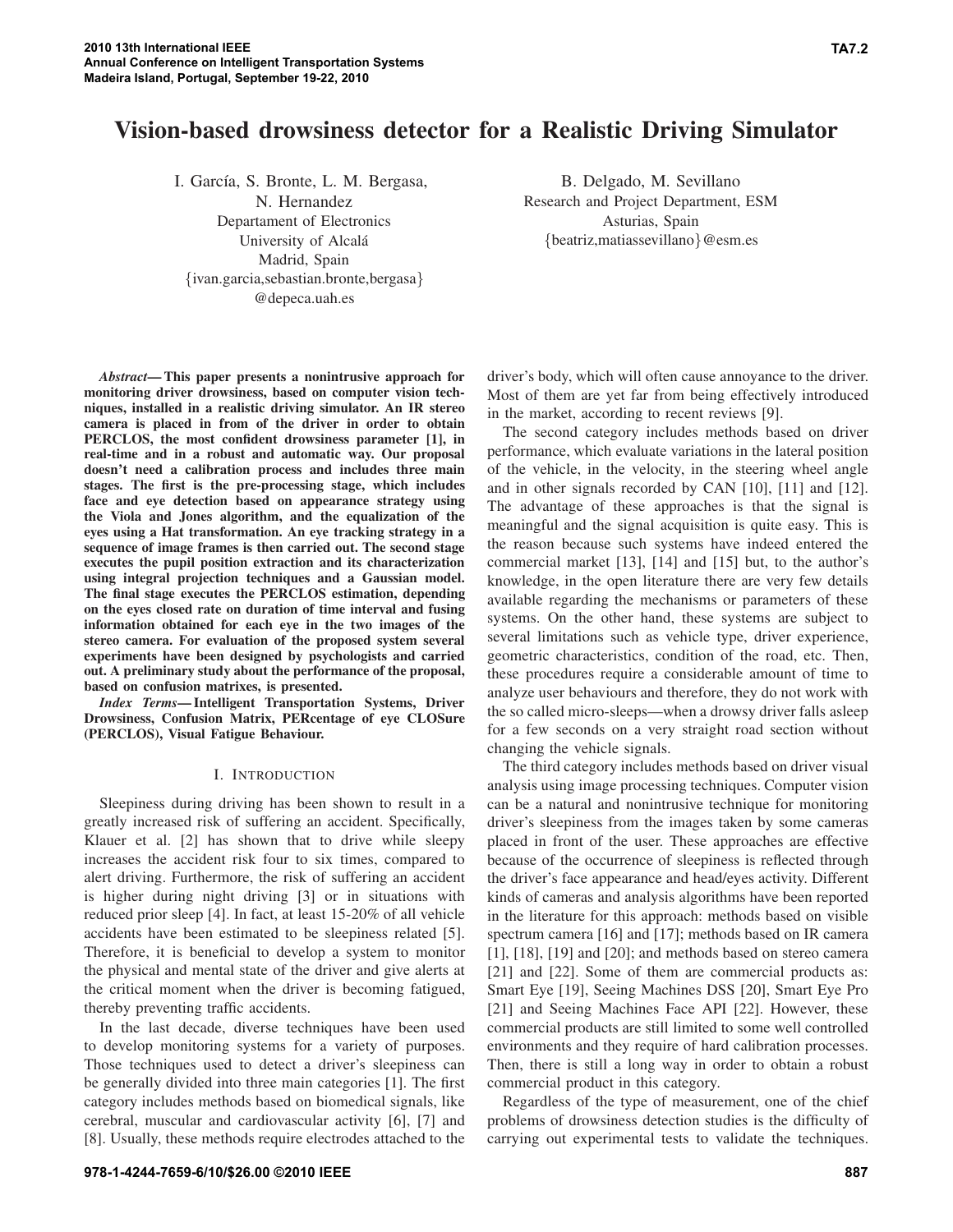# **Vision-based drowsiness detector for a Realistic Driving Simulator**

I. García, S. Bronte, L. M. Bergasa,

N. Hernandez Departament of Electronics University of Alcala´ Madrid, Spain {ivan.garcia,sebastian.bronte,bergasa} @depeca.uah.es

*Abstract***— This paper presents a nonintrusive approach for monitoring driver drowsiness, based on computer vision techniques, installed in a realistic driving simulator. An IR stereo camera is placed in from of the driver in order to obtain PERCLOS, the most confident drowsiness parameter [1], in real-time and in a robust and automatic way. Our proposal doesn't need a calibration process and includes three main stages. The first is the pre-processing stage, which includes face and eye detection based on appearance strategy using the Viola and Jones algorithm, and the equalization of the eyes using a Hat transformation. An eye tracking strategy in a sequence of image frames is then carried out. The second stage executes the pupil position extraction and its characterization using integral projection techniques and a Gaussian model. The final stage executes the PERCLOS estimation, depending on the eyes closed rate on duration of time interval and fusing information obtained for each eye in the two images of the stereo camera. For evaluation of the proposed system several experiments have been designed by psychologists and carried out. A preliminary study about the performance of the proposal, based on confusion matrixes, is presented.**

*Index Terms***—Intelligent Transportation Systems, Driver Drowsiness, Confusion Matrix, PERcentage of eye CLOSure (PERCLOS), Visual Fatigue Behaviour.**

## I. INTRODUCTION

Sleepiness during driving has been shown to result in a greatly increased risk of suffering an accident. Specifically, Klauer et al. [2] has shown that to drive while sleepy increases the accident risk four to six times, compared to alert driving. Furthermore, the risk of suffering an accident is higher during night driving [3] or in situations with reduced prior sleep [4]. In fact, at least 15-20% of all vehicle accidents have been estimated to be sleepiness related [5]. Therefore, it is beneficial to develop a system to monitor the physical and mental state of the driver and give alerts at the critical moment when the driver is becoming fatigued, thereby preventing traffic accidents.

In the last decade, diverse techniques have been used to develop monitoring systems for a variety of purposes. Those techniques used to detect a driver's sleepiness can be generally divided into three main categories [1]. The first category includes methods based on biomedical signals, like cerebral, muscular and cardiovascular activity [6], [7] and [8]. Usually, these methods require electrodes attached to the

B. Delgado, M. Sevillano Research and Project Department, ESM Asturias, Spain {beatriz,matiassevillano}@esm.es

driver's body, which will often cause annoyance to the driver. Most of them are yet far from being effectively introduced in the market, according to recent reviews [9].

The second category includes methods based on driver performance, which evaluate variations in the lateral position of the vehicle, in the velocity, in the steering wheel angle and in other signals recorded by CAN [10], [11] and [12]. The advantage of these approaches is that the signal is meaningful and the signal acquisition is quite easy. This is the reason because such systems have indeed entered the commercial market [13], [14] and [15] but, to the author's knowledge, in the open literature there are very few details available regarding the mechanisms or parameters of these systems. On the other hand, these systems are subject to several limitations such as vehicle type, driver experience, geometric characteristics, condition of the road, etc. Then, these procedures require a considerable amount of time to analyze user behaviours and therefore, they do not work with the so called micro-sleeps—when a drowsy driver falls asleep for a few seconds on a very straight road section without changing the vehicle signals.

The third category includes methods based on driver visual analysis using image processing techniques. Computer vision can be a natural and nonintrusive technique for monitoring driver's sleepiness from the images taken by some cameras placed in front of the user. These approaches are effective because of the occurrence of sleepiness is reflected through the driver's face appearance and head/eyes activity. Different kinds of cameras and analysis algorithms have been reported in the literature for this approach: methods based on visible spectrum camera [16] and [17]; methods based on IR camera [1], [18], [19] and [20]; and methods based on stereo camera [21] and [22]. Some of them are commercial products as: Smart Eye [19], Seeing Machines DSS [20], Smart Eye Pro [21] and Seeing Machines Face API [22]. However, these commercial products are still limited to some well controlled environments and they require of hard calibration processes. Then, there is still a long way in order to obtain a robust commercial product in this category.

Regardless of the type of measurement, one of the chief problems of drowsiness detection studies is the difficulty of carrying out experimental tests to validate the techniques.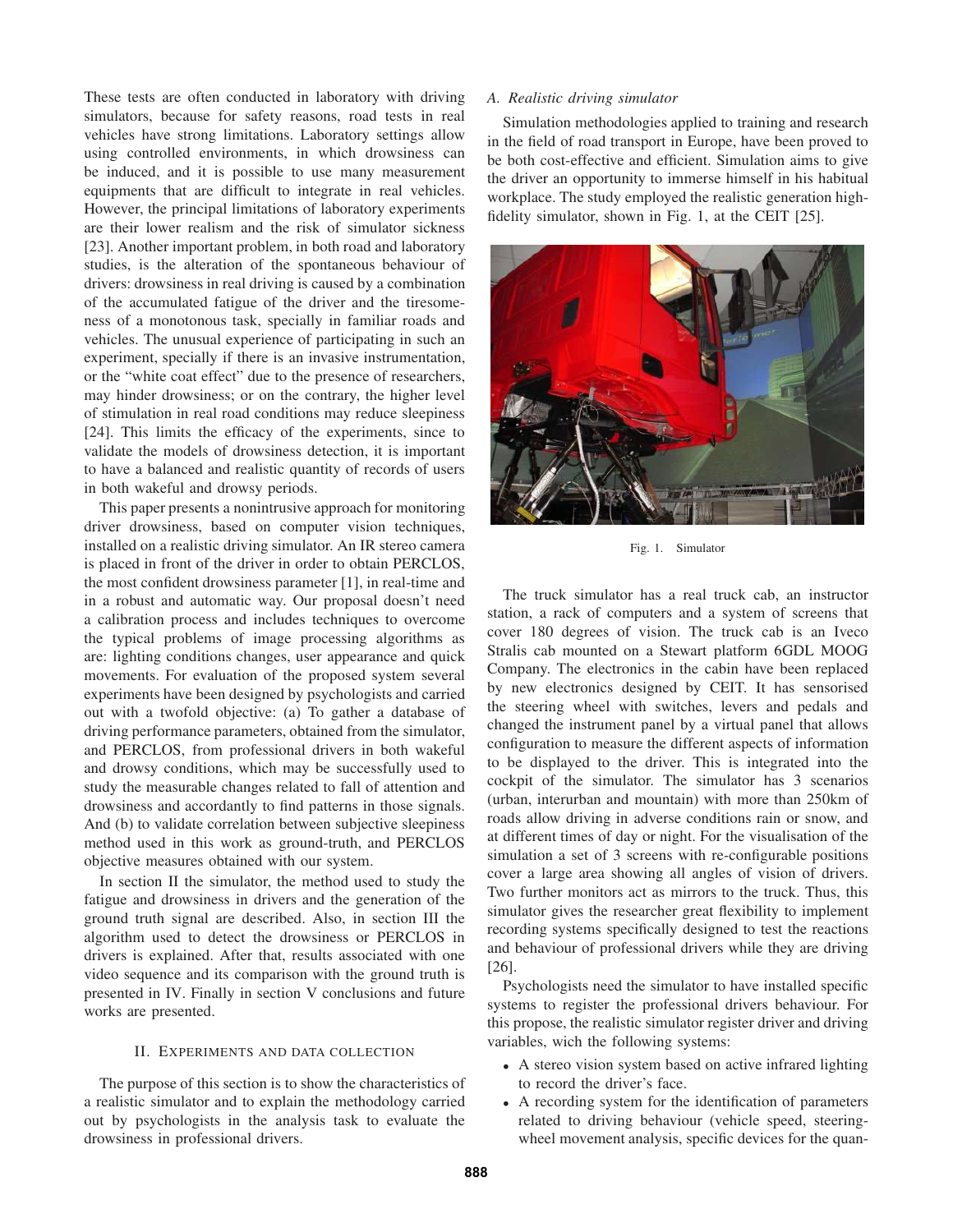These tests are often conducted in laboratory with driving simulators, because for safety reasons, road tests in real vehicles have strong limitations. Laboratory settings allow using controlled environments, in which drowsiness can be induced, and it is possible to use many measurement equipments that are difficult to integrate in real vehicles. However, the principal limitations of laboratory experiments are their lower realism and the risk of simulator sickness [23]. Another important problem, in both road and laboratory studies, is the alteration of the spontaneous behaviour of drivers: drowsiness in real driving is caused by a combination of the accumulated fatigue of the driver and the tiresomeness of a monotonous task, specially in familiar roads and vehicles. The unusual experience of participating in such an experiment, specially if there is an invasive instrumentation, or the "white coat effect" due to the presence of researchers, may hinder drowsiness; or on the contrary, the higher level of stimulation in real road conditions may reduce sleepiness [24]. This limits the efficacy of the experiments, since to validate the models of drowsiness detection, it is important to have a balanced and realistic quantity of records of users in both wakeful and drowsy periods.

This paper presents a nonintrusive approach for monitoring driver drowsiness, based on computer vision techniques, installed on a realistic driving simulator. An IR stereo camera is placed in front of the driver in order to obtain PERCLOS, the most confident drowsiness parameter [1], in real-time and in a robust and automatic way. Our proposal doesn't need a calibration process and includes techniques to overcome the typical problems of image processing algorithms as are: lighting conditions changes, user appearance and quick movements. For evaluation of the proposed system several experiments have been designed by psychologists and carried out with a twofold objective: (a) To gather a database of driving performance parameters, obtained from the simulator, and PERCLOS, from professional drivers in both wakeful and drowsy conditions, which may be successfully used to study the measurable changes related to fall of attention and drowsiness and accordantly to find patterns in those signals. And (b) to validate correlation between subjective sleepiness method used in this work as ground-truth, and PERCLOS objective measures obtained with our system.

In section II the simulator, the method used to study the fatigue and drowsiness in drivers and the generation of the ground truth signal are described. Also, in section III the algorithm used to detect the drowsiness or PERCLOS in drivers is explained. After that, results associated with one video sequence and its comparison with the ground truth is presented in IV. Finally in section V conclusions and future works are presented.

# II. EXPERIMENTS AND DATA COLLECTION

The purpose of this section is to show the characteristics of a realistic simulator and to explain the methodology carried out by psychologists in the analysis task to evaluate the drowsiness in professional drivers.

## *A. Realistic driving simulator*

Simulation methodologies applied to training and research in the field of road transport in Europe, have been proved to be both cost-effective and efficient. Simulation aims to give the driver an opportunity to immerse himself in his habitual workplace. The study employed the realistic generation highfidelity simulator, shown in Fig. 1, at the CEIT [25].



Fig. 1. Simulator

The truck simulator has a real truck cab, an instructor station, a rack of computers and a system of screens that cover 180 degrees of vision. The truck cab is an Iveco Stralis cab mounted on a Stewart platform 6GDL MOOG Company. The electronics in the cabin have been replaced by new electronics designed by CEIT. It has sensorised the steering wheel with switches, levers and pedals and changed the instrument panel by a virtual panel that allows configuration to measure the different aspects of information to be displayed to the driver. This is integrated into the cockpit of the simulator. The simulator has 3 scenarios (urban, interurban and mountain) with more than 250km of roads allow driving in adverse conditions rain or snow, and at different times of day or night. For the visualisation of the simulation a set of 3 screens with re-configurable positions cover a large area showing all angles of vision of drivers. Two further monitors act as mirrors to the truck. Thus, this simulator gives the researcher great flexibility to implement recording systems specifically designed to test the reactions and behaviour of professional drivers while they are driving [26].

Psychologists need the simulator to have installed specific systems to register the professional drivers behaviour. For this propose, the realistic simulator register driver and driving variables, wich the following systems:

- A stereo vision system based on active infrared lighting to record the driver's face.
- A recording system for the identification of parameters related to driving behaviour (vehicle speed, steeringwheel movement analysis, specific devices for the quan-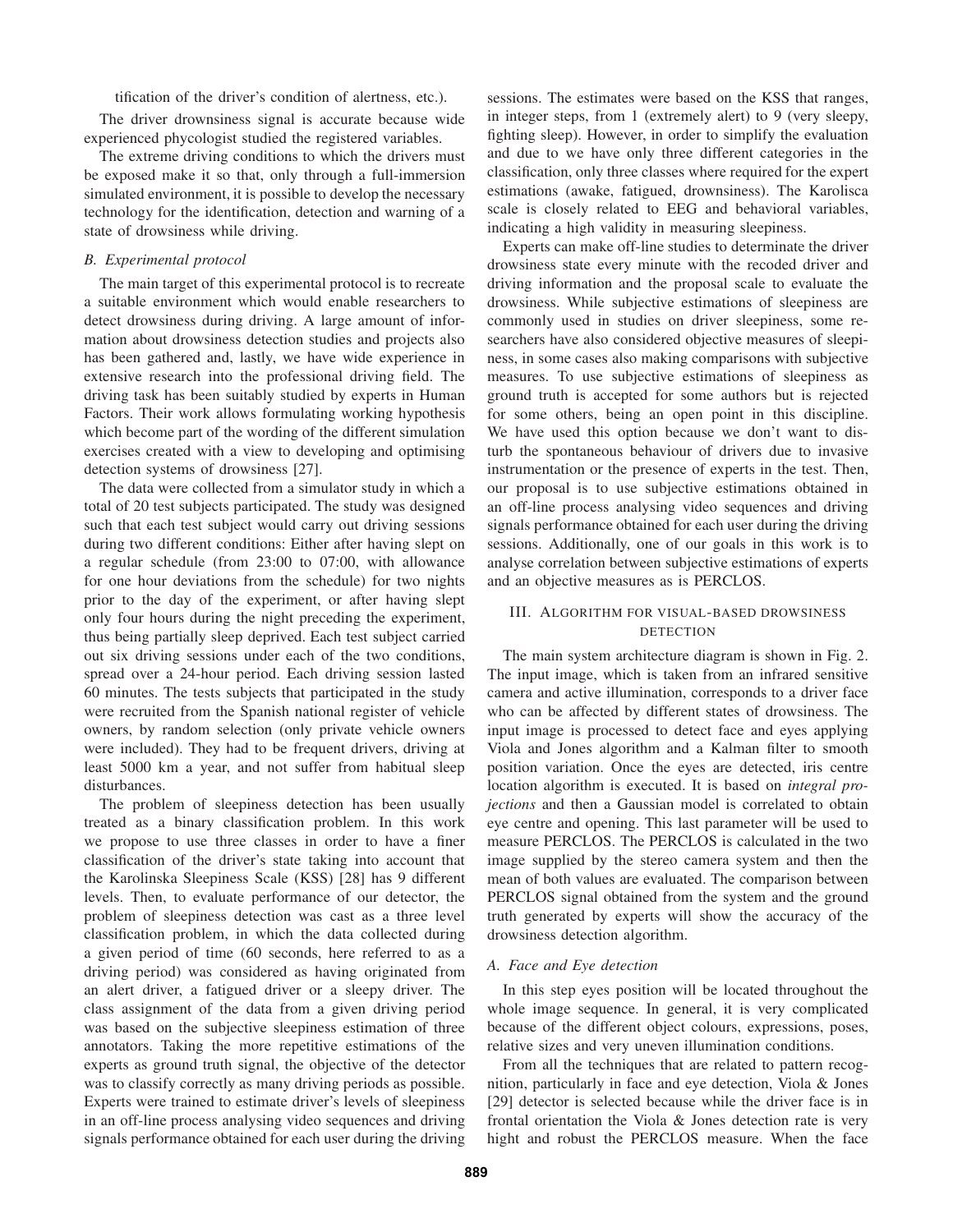tification of the driver's condition of alertness, etc.).

The driver drownsiness signal is accurate because wide experienced phycologist studied the registered variables.

The extreme driving conditions to which the drivers must be exposed make it so that, only through a full-immersion simulated environment, it is possible to develop the necessary technology for the identification, detection and warning of a state of drowsiness while driving.

# *B. Experimental protocol*

The main target of this experimental protocol is to recreate a suitable environment which would enable researchers to detect drowsiness during driving. A large amount of information about drowsiness detection studies and projects also has been gathered and, lastly, we have wide experience in extensive research into the professional driving field. The driving task has been suitably studied by experts in Human Factors. Their work allows formulating working hypothesis which become part of the wording of the different simulation exercises created with a view to developing and optimising detection systems of drowsiness [27].

The data were collected from a simulator study in which a total of 20 test subjects participated. The study was designed such that each test subject would carry out driving sessions during two different conditions: Either after having slept on a regular schedule (from 23:00 to 07:00, with allowance for one hour deviations from the schedule) for two nights prior to the day of the experiment, or after having slept only four hours during the night preceding the experiment, thus being partially sleep deprived. Each test subject carried out six driving sessions under each of the two conditions, spread over a 24-hour period. Each driving session lasted 60 minutes. The tests subjects that participated in the study were recruited from the Spanish national register of vehicle owners, by random selection (only private vehicle owners were included). They had to be frequent drivers, driving at least 5000 km a year, and not suffer from habitual sleep disturbances.

The problem of sleepiness detection has been usually treated as a binary classification problem. In this work we propose to use three classes in order to have a finer classification of the driver's state taking into account that the Karolinska Sleepiness Scale (KSS) [28] has 9 different levels. Then, to evaluate performance of our detector, the problem of sleepiness detection was cast as a three level classification problem, in which the data collected during a given period of time (60 seconds, here referred to as a driving period) was considered as having originated from an alert driver, a fatigued driver or a sleepy driver. The class assignment of the data from a given driving period was based on the subjective sleepiness estimation of three annotators. Taking the more repetitive estimations of the experts as ground truth signal, the objective of the detector was to classify correctly as many driving periods as possible. Experts were trained to estimate driver's levels of sleepiness in an off-line process analysing video sequences and driving signals performance obtained for each user during the driving sessions. The estimates were based on the KSS that ranges, in integer steps, from 1 (extremely alert) to 9 (very sleepy, fighting sleep). However, in order to simplify the evaluation and due to we have only three different categories in the classification, only three classes where required for the expert estimations (awake, fatigued, drownsiness). The Karolisca scale is closely related to EEG and behavioral variables, indicating a high validity in measuring sleepiness.

Experts can make off-line studies to determinate the driver drowsiness state every minute with the recoded driver and driving information and the proposal scale to evaluate the drowsiness. While subjective estimations of sleepiness are commonly used in studies on driver sleepiness, some researchers have also considered objective measures of sleepiness, in some cases also making comparisons with subjective measures. To use subjective estimations of sleepiness as ground truth is accepted for some authors but is rejected for some others, being an open point in this discipline. We have used this option because we don't want to disturb the spontaneous behaviour of drivers due to invasive instrumentation or the presence of experts in the test. Then, our proposal is to use subjective estimations obtained in an off-line process analysing video sequences and driving signals performance obtained for each user during the driving sessions. Additionally, one of our goals in this work is to analyse correlation between subjective estimations of experts and an objective measures as is PERCLOS.

# III. ALGORITHM FOR VISUAL-BASED DROWSINESS **DETECTION**

The main system architecture diagram is shown in Fig. 2. The input image, which is taken from an infrared sensitive camera and active illumination, corresponds to a driver face who can be affected by different states of drowsiness. The input image is processed to detect face and eyes applying Viola and Jones algorithm and a Kalman filter to smooth position variation. Once the eyes are detected, iris centre location algorithm is executed. It is based on *integral projections* and then a Gaussian model is correlated to obtain eye centre and opening. This last parameter will be used to measure PERCLOS. The PERCLOS is calculated in the two image supplied by the stereo camera system and then the mean of both values are evaluated. The comparison between PERCLOS signal obtained from the system and the ground truth generated by experts will show the accuracy of the drowsiness detection algorithm.

## *A. Face and Eye detection*

In this step eyes position will be located throughout the whole image sequence. In general, it is very complicated because of the different object colours, expressions, poses, relative sizes and very uneven illumination conditions.

From all the techniques that are related to pattern recognition, particularly in face and eye detection, Viola & Jones [29] detector is selected because while the driver face is in frontal orientation the Viola & Jones detection rate is very hight and robust the PERCLOS measure. When the face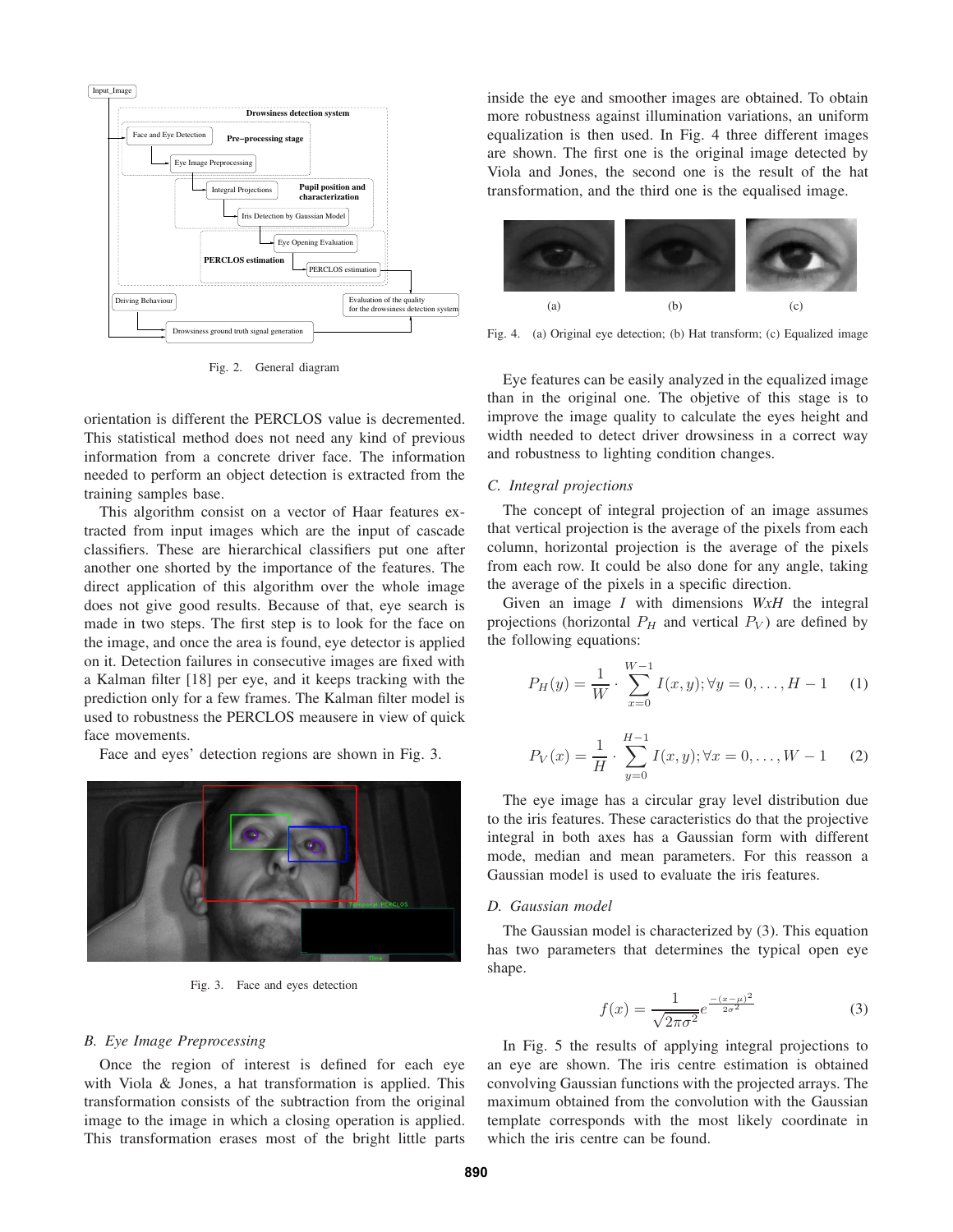

Fig. 2. General diagram

orientation is different the PERCLOS value is decremented. This statistical method does not need any kind of previous information from a concrete driver face. The information needed to perform an object detection is extracted from the training samples base.

This algorithm consist on a vector of Haar features extracted from input images which are the input of cascade classifiers. These are hierarchical classifiers put one after another one shorted by the importance of the features. The direct application of this algorithm over the whole image does not give good results. Because of that, eye search is made in two steps. The first step is to look for the face on the image, and once the area is found, eye detector is applied on it. Detection failures in consecutive images are fixed with a Kalman filter [18] per eye, and it keeps tracking with the prediction only for a few frames. The Kalman filter model is used to robustness the PERCLOS meausere in view of quick face movements.

Face and eyes' detection regions are shown in Fig. 3.



Fig. 3. Face and eyes detection

#### *B. Eye Image Preprocessing*

Once the region of interest is defined for each eye with Viola & Jones, a hat transformation is applied. This transformation consists of the subtraction from the original image to the image in which a closing operation is applied. This transformation erases most of the bright little parts

inside the eye and smoother images are obtained. To obtain more robustness against illumination variations, an uniform equalization is then used. In Fig. 4 three different images are shown. The first one is the original image detected by Viola and Jones, the second one is the result of the hat transformation, and the third one is the equalised image.



Fig. 4. (a) Original eye detection; (b) Hat transform; (c) Equalized image

Eye features can be easily analyzed in the equalized image than in the original one. The objetive of this stage is to improve the image quality to calculate the eyes height and width needed to detect driver drowsiness in a correct way and robustness to lighting condition changes.

## *C. Integral projections*

The concept of integral projection of an image assumes that vertical projection is the average of the pixels from each column, horizontal projection is the average of the pixels from each row. It could be also done for any angle, taking the average of the pixels in a specific direction.

Given an image *I* with dimensions *WxH* the integral projections (horizontal  $P_H$  and vertical  $P_V$ ) are defined by the following equations:

$$
P_H(y) = \frac{1}{W} \cdot \sum_{x=0}^{W-1} I(x, y); \forall y = 0, \dots, H-1 \quad (1)
$$

$$
P_V(x) = \frac{1}{H} \cdot \sum_{y=0}^{H-1} I(x, y); \forall x = 0, \dots, W - 1 \quad (2)
$$

The eye image has a circular gray level distribution due to the iris features. These caracteristics do that the projective integral in both axes has a Gaussian form with different mode, median and mean parameters. For this reasson a Gaussian model is used to evaluate the iris features.

#### *D. Gaussian model*

The Gaussian model is characterized by (3). This equation has two parameters that determines the typical open eye shape.

$$
f(x) = \frac{1}{\sqrt{2\pi\sigma^2}} e^{\frac{-(x-\mu)^2}{2\sigma^2}}
$$
 (3)

In Fig. 5 the results of applying integral projections to an eye are shown. The iris centre estimation is obtained convolving Gaussian functions with the projected arrays. The maximum obtained from the convolution with the Gaussian template corresponds with the most likely coordinate in which the iris centre can be found.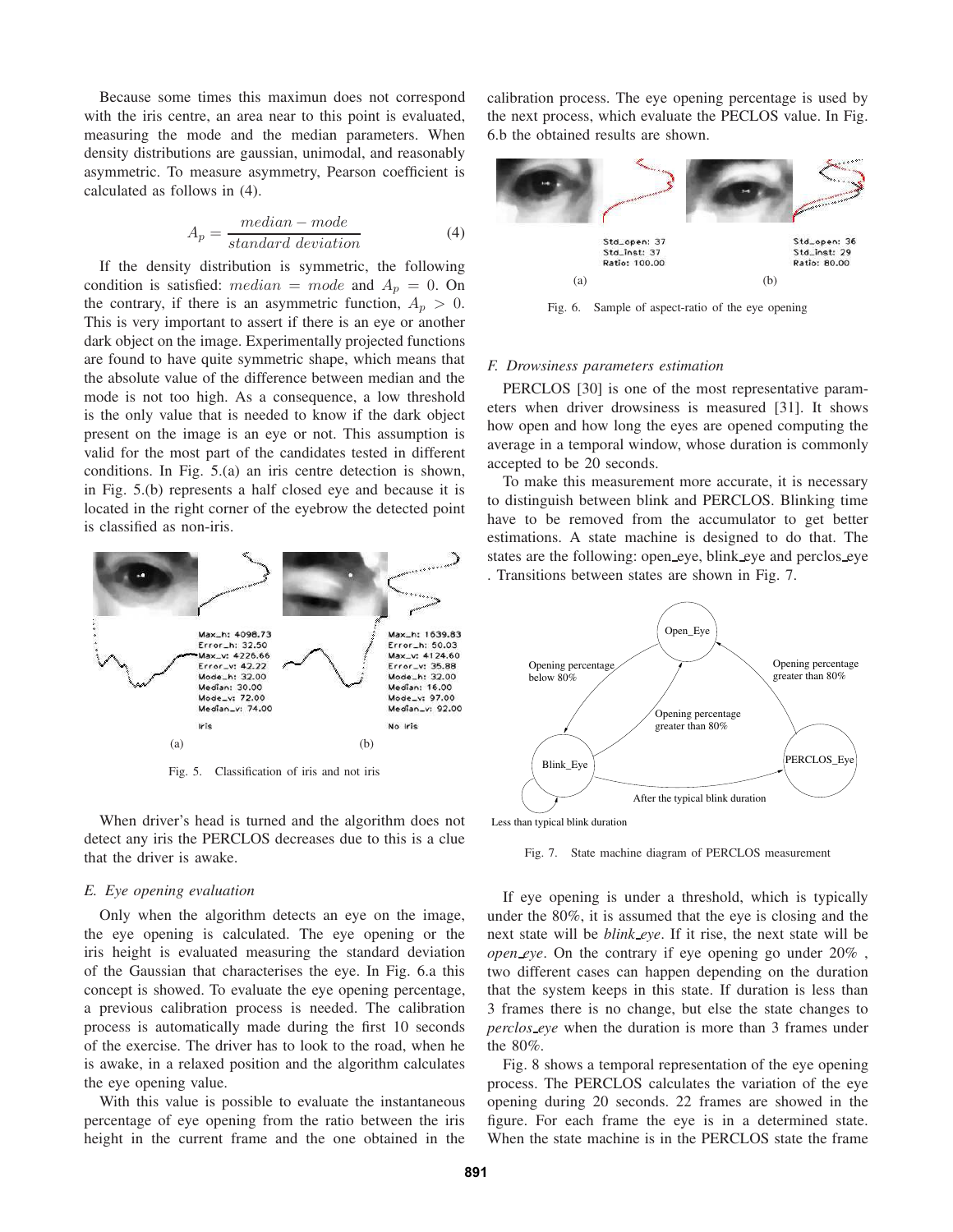Because some times this maximun does not correspond with the iris centre, an area near to this point is evaluated, measuring the mode and the median parameters. When density distributions are gaussian, unimodal, and reasonably asymmetric. To measure asymmetry, Pearson coefficient is calculated as follows in (4).

$$
A_p = \frac{median - mode}{standard \; deviation}
$$
 (4)

If the density distribution is symmetric, the following condition is satisfied:  $median = mode$  and  $A_p = 0$ . On the contrary, if there is an asymmetric function,  $A_p > 0$ . This is very important to assert if there is an eye or another dark object on the image. Experimentally projected functions are found to have quite symmetric shape, which means that the absolute value of the difference between median and the mode is not too high. As a consequence, a low threshold is the only value that is needed to know if the dark object present on the image is an eye or not. This assumption is valid for the most part of the candidates tested in different conditions. In Fig. 5.(a) an iris centre detection is shown, in Fig. 5.(b) represents a half closed eye and because it is located in the right corner of the eyebrow the detected point is classified as non-iris.



Fig. 5. Classification of iris and not iris

When driver's head is turned and the algorithm does not detect any iris the PERCLOS decreases due to this is a clue that the driver is awake.

# *E. Eye opening evaluation*

Only when the algorithm detects an eye on the image, the eye opening is calculated. The eye opening or the iris height is evaluated measuring the standard deviation of the Gaussian that characterises the eye. In Fig. 6.a this concept is showed. To evaluate the eye opening percentage, a previous calibration process is needed. The calibration process is automatically made during the first 10 seconds of the exercise. The driver has to look to the road, when he is awake, in a relaxed position and the algorithm calculates the eye opening value.

With this value is possible to evaluate the instantaneous percentage of eye opening from the ratio between the iris height in the current frame and the one obtained in the

calibration process. The eye opening percentage is used by the next process, which evaluate the PECLOS value. In Fig. 6.b the obtained results are shown.



Fig. 6. Sample of aspect-ratio of the eye opening

# *F. Drowsiness parameters estimation*

PERCLOS [30] is one of the most representative parameters when driver drowsiness is measured [31]. It shows how open and how long the eyes are opened computing the average in a temporal window, whose duration is commonly accepted to be 20 seconds.

To make this measurement more accurate, it is necessary to distinguish between blink and PERCLOS. Blinking time have to be removed from the accumulator to get better estimations. A state machine is designed to do that. The states are the following: open eye, blink eye and perclos eye . Transitions between states are shown in Fig. 7.



Less than typical blink duration

Fig. 7. State machine diagram of PERCLOS measurement

If eye opening is under a threshold, which is typically under the 80%, it is assumed that the eye is closing and the next state will be *blink eye*. If it rise, the next state will be *open eye*. On the contrary if eye opening go under 20% , two different cases can happen depending on the duration that the system keeps in this state. If duration is less than 3 frames there is no change, but else the state changes to *perclos eye* when the duration is more than 3 frames under the 80%.

Fig. 8 shows a temporal representation of the eye opening process. The PERCLOS calculates the variation of the eye opening during 20 seconds. 22 frames are showed in the figure. For each frame the eye is in a determined state. When the state machine is in the PERCLOS state the frame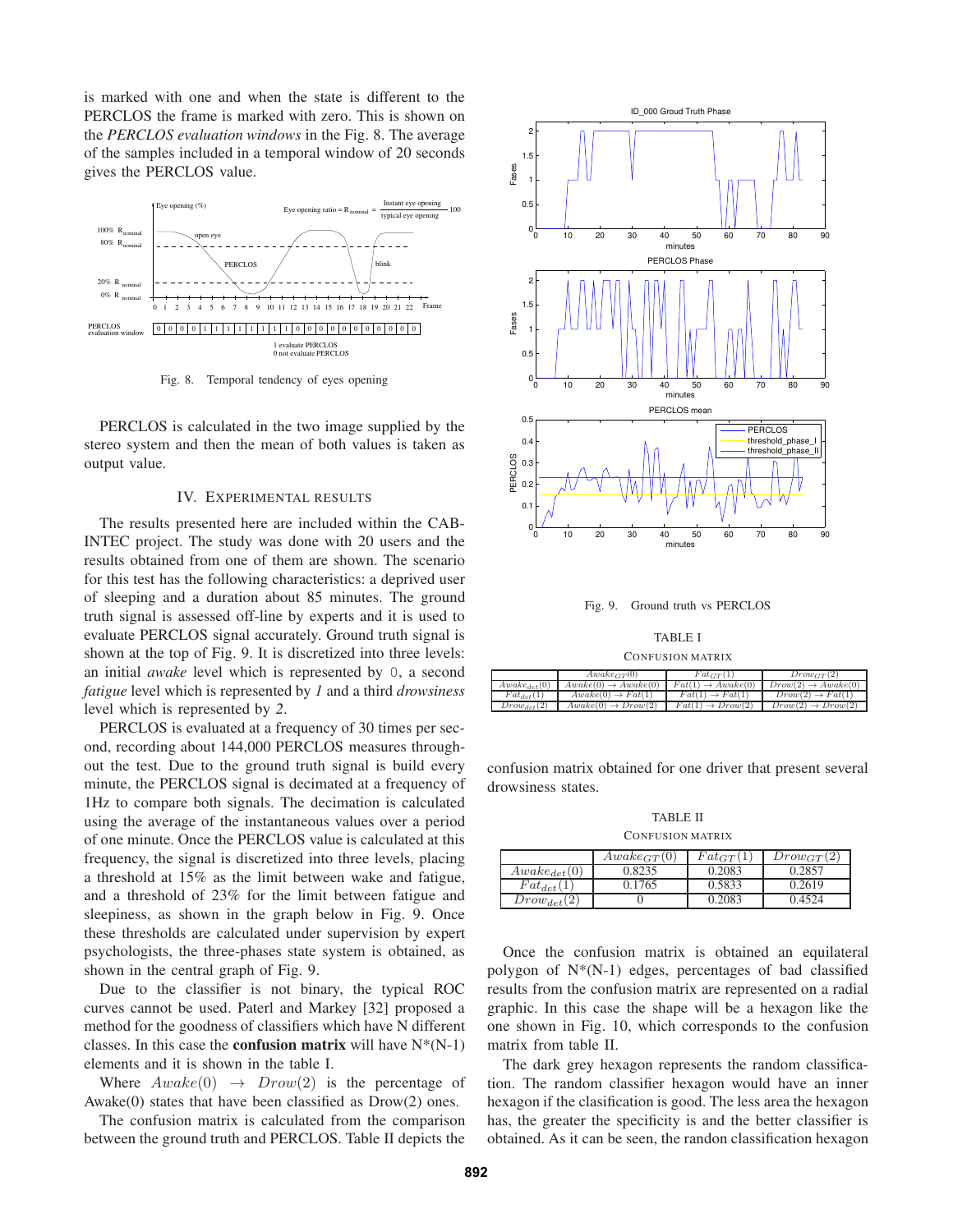is marked with one and when the state is different to the PERCLOS the frame is marked with zero. This is shown on the *PERCLOS evaluation windows* in the Fig. 8. The average of the samples included in a temporal window of 20 seconds gives the PERCLOS value.



Fig. 8. Temporal tendency of eyes opening

PERCLOS is calculated in the two image supplied by the stereo system and then the mean of both values is taken as output value.

## IV. EXPERIMENTAL RESULTS

The results presented here are included within the CAB-INTEC project. The study was done with 20 users and the results obtained from one of them are shown. The scenario for this test has the following characteristics: a deprived user of sleeping and a duration about 85 minutes. The ground truth signal is assessed off-line by experts and it is used to evaluate PERCLOS signal accurately. Ground truth signal is shown at the top of Fig. 9. It is discretized into three levels: an initial *awake* level which is represented by 0, a second *fatigue* level which is represented by *1* and a third *drowsiness* level which is represented by *2*.

PERCLOS is evaluated at a frequency of 30 times per second, recording about 144,000 PERCLOS measures throughout the test. Due to the ground truth signal is build every minute, the PERCLOS signal is decimated at a frequency of 1Hz to compare both signals. The decimation is calculated using the average of the instantaneous values over a period of one minute. Once the PERCLOS value is calculated at this frequency, the signal is discretized into three levels, placing a threshold at 15% as the limit between wake and fatigue, and a threshold of 23% for the limit between fatigue and sleepiness, as shown in the graph below in Fig. 9. Once these thresholds are calculated under supervision by expert psychologists, the three-phases state system is obtained, as shown in the central graph of Fig. 9.

Due to the classifier is not binary, the typical ROC curves cannot be used. Paterl and Markey [32] proposed a method for the goodness of classifiers which have N different classes. In this case the **confusion matrix** will have  $N^*(N-1)$ elements and it is shown in the table I.

Where  $Awake(0) \rightarrow Drow(2)$  is the percentage of Awake $(0)$  states that have been classified as  $Drow(2)$  ones.

The confusion matrix is calculated from the comparison between the ground truth and PERCLOS. Table II depicts the



Fig. 9. Ground truth vs PERCLOS

#### TABLE I

CONFUSION MATRIX

|                  | $A wake_{CT}(0)$                          | $Fat_{GT}(1)$                 | $Drow_{CT}(2)$                                      |
|------------------|-------------------------------------------|-------------------------------|-----------------------------------------------------|
| $Awake_{def}(0)$ | $Awake(0) \rightarrow Awake(0)$           | $Fat(1) \rightarrow Awake(0)$ | $Draw(2) \rightarrow Have(0)$                       |
| $Fat_{det}(1)$   | $Awake(0) \rightarrow Fat(1)$             | $Fat(1) \rightarrow Fat(1)$   | $Draw(2) \rightarrow Fat(1)$                        |
| $Drow_{det}(2)$  | $\overline{Awake(0)} \rightarrow Drow(2)$ | $Fat(1) \rightarrow Drow(2)$  | $\overline{Draw(2)} \rightarrow \overline{Draw(2)}$ |

confusion matrix obtained for one driver that present several drowsiness states.

TABLE II CONFUSION MATRIX

|                  | $A wake_{GT}(0)$ | $Fat_{GT}(1)$ | $Drow_{GT}(2)$ |
|------------------|------------------|---------------|----------------|
| $Awake_{det}(0)$ | 0.8235           | 0.2083        |                |
| $Fat_{det}$      | .1765            | 0.5833        | 0.2619         |
| $Drow_{det}(2)$  |                  |               |                |

Once the confusion matrix is obtained an equilateral polygon of N\*(N-1) edges, percentages of bad classified results from the confusion matrix are represented on a radial graphic. In this case the shape will be a hexagon like the one shown in Fig. 10, which corresponds to the confusion matrix from table II.

The dark grey hexagon represents the random classification. The random classifier hexagon would have an inner hexagon if the clasification is good. The less area the hexagon has, the greater the specificity is and the better classifier is obtained. As it can be seen, the randon classification hexagon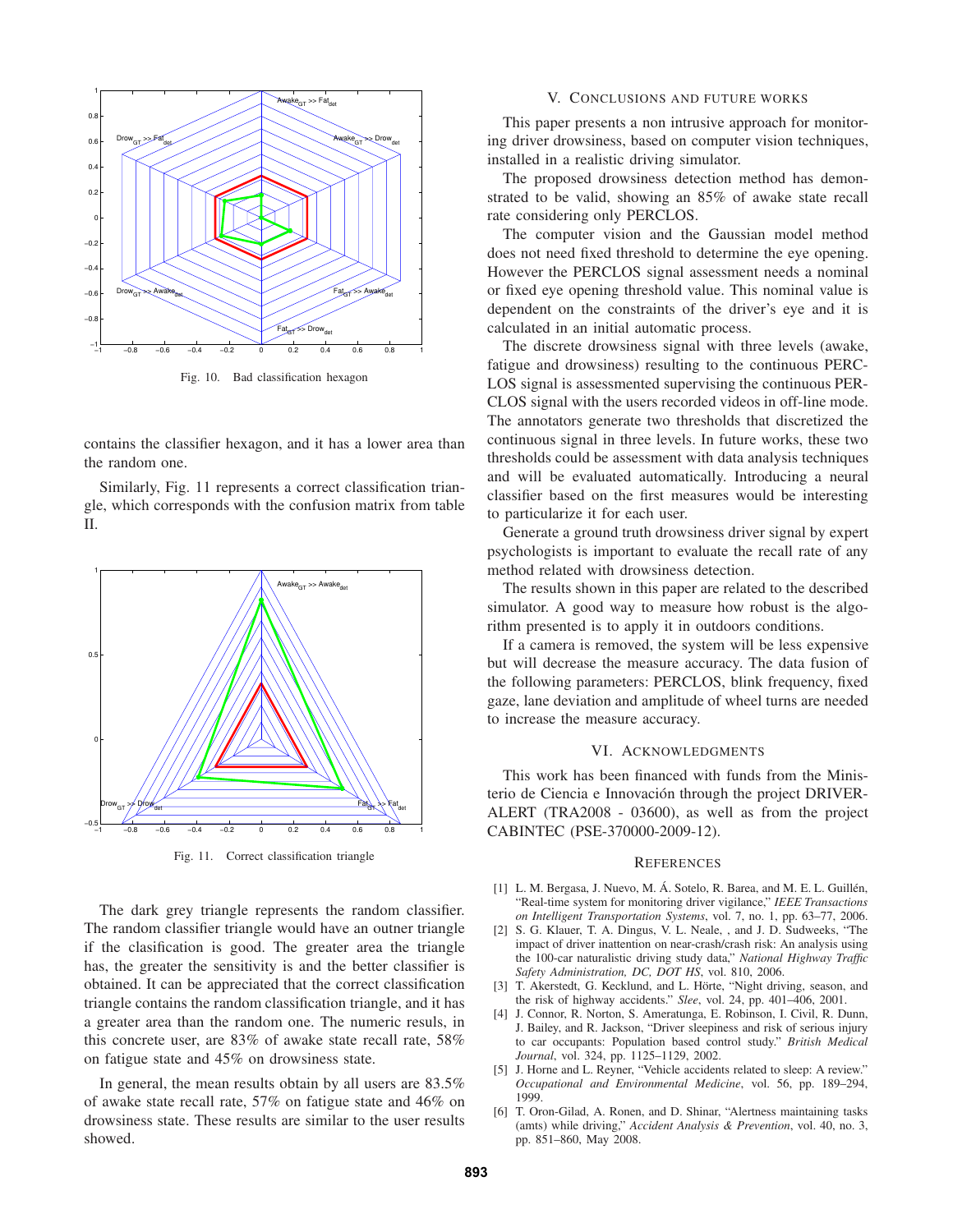

Fig. 10. Bad classification hexagon

contains the classifier hexagon, and it has a lower area than the random one.

Similarly, Fig. 11 represents a correct classification triangle, which corresponds with the confusion matrix from table II.



Fig. 11. Correct classification triangle

The dark grey triangle represents the random classifier. The random classifier triangle would have an outner triangle if the clasification is good. The greater area the triangle has, the greater the sensitivity is and the better classifier is obtained. It can be appreciated that the correct classification triangle contains the random classification triangle, and it has a greater area than the random one. The numeric resuls, in this concrete user, are 83% of awake state recall rate, 58% on fatigue state and 45% on drowsiness state.

In general, the mean results obtain by all users are 83.5% of awake state recall rate, 57% on fatigue state and 46% on drowsiness state. These results are similar to the user results showed.

#### V. CONCLUSIONS AND FUTURE WORKS

This paper presents a non intrusive approach for monitoring driver drowsiness, based on computer vision techniques, installed in a realistic driving simulator.

The proposed drowsiness detection method has demonstrated to be valid, showing an 85% of awake state recall rate considering only PERCLOS.

The computer vision and the Gaussian model method does not need fixed threshold to determine the eye opening. However the PERCLOS signal assessment needs a nominal or fixed eye opening threshold value. This nominal value is dependent on the constraints of the driver's eye and it is calculated in an initial automatic process.

The discrete drowsiness signal with three levels (awake, fatigue and drowsiness) resulting to the continuous PERC-LOS signal is assessmented supervising the continuous PER-CLOS signal with the users recorded videos in off-line mode. The annotators generate two thresholds that discretized the continuous signal in three levels. In future works, these two thresholds could be assessment with data analysis techniques and will be evaluated automatically. Introducing a neural classifier based on the first measures would be interesting to particularize it for each user.

Generate a ground truth drowsiness driver signal by expert psychologists is important to evaluate the recall rate of any method related with drowsiness detection.

The results shown in this paper are related to the described simulator. A good way to measure how robust is the algorithm presented is to apply it in outdoors conditions.

If a camera is removed, the system will be less expensive but will decrease the measure accuracy. The data fusion of the following parameters: PERCLOS, blink frequency, fixed gaze, lane deviation and amplitude of wheel turns are needed to increase the measure accuracy.

#### VI. ACKNOWLEDGMENTS

This work has been financed with funds from the Ministerio de Ciencia e Innovación through the project DRIVER-ALERT (TRA2008 - 03600), as well as from the project CABINTEC (PSE-370000-2009-12).

## **REFERENCES**

- [1] L. M. Bergasa, J. Nuevo, M. Á. Sotelo, R. Barea, and M. E. L. Guillén, "Real-time system for monitoring driver vigilance," *IEEE Transactions on Intelligent Transportation Systems*, vol. 7, no. 1, pp. 63–77, 2006.
- [2] S. G. Klauer, T. A. Dingus, V. L. Neale, , and J. D. Sudweeks, "The impact of driver inattention on near-crash/crash risk: An analysis using the 100-car naturalistic driving study data," *National Highway Traffic Safety Administration, DC, DOT HS*, vol. 810, 2006.
- [3] T. Akerstedt, G. Kecklund, and L. Hörte, "Night driving, season, and the risk of highway accidents." *Slee*, vol. 24, pp. 401–406, 2001.
- [4] J. Connor, R. Norton, S. Ameratunga, E. Robinson, I. Civil, R. Dunn, J. Bailey, and R. Jackson, "Driver sleepiness and risk of serious injury to car occupants: Population based control study." *British Medical Journal*, vol. 324, pp. 1125–1129, 2002.
- [5] J. Horne and L. Reyner, "Vehicle accidents related to sleep: A review." *Occupational and Environmental Medicine*, vol. 56, pp. 189–294, 1999.
- [6] T. Oron-Gilad, A. Ronen, and D. Shinar, "Alertness maintaining tasks (amts) while driving," *Accident Analysis & Prevention*, vol. 40, no. 3, pp. 851–860, May 2008.